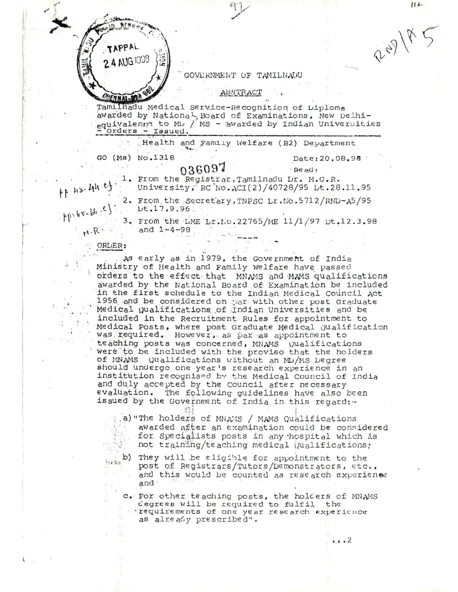

GOVERNMENT OF TAMILNADU

ABSTRACT

Tamilhadu Medical Service-Recognition of Diploma awarded by National Board of Examinations, New Delhiequivalenm to ML / MS - awarded by Indian Universities Orders - Issued.

Health and Family Welfare (B2) Department

GO (Ms) No.1318

## 036097

 $Besed:$ 1. From the Registrar, Tamilnadu Lr. M.G.R. University, RC No. ACI(2)/40728/95 Lt.28.11.95

Date: 20.08.98

 $\cdots$ 

 $112$ 

22918

11-43-44.4

 $\{P_1, P_2, P_3, P_4, P_5\}$ 

 $H \cdot R$ 

2. From the secretary, TNPSC Lr. No. 5712/RND-A5/95  $Dt.17.9.96$ 

3. From the LME Lr.Mo.22765/ME 11/1/97 Dt.12.3.98 and  $1 - 4 - 98$ 

## ORLER:

VANO

As early as in 1979, the Government of India Ministry of Health and Family Welfare have passed orders to the effect that MNAMS and MAMS qualifications awarded by the National Board of Examination be included in the first schedule to the Indian Medical Council Act 1956 and be considered on par with other post Graduate Medical Qualifications of Indian Universities and be included in the Recruitment Rules for appointment to Medical Posts, where post Graduate Medical Qualification was required. However, as par as appointment to teaching posts was concerned, MNAMS Wualifications were to be included with the proviso that the holders of MNAMS Qualifications without an MD/MS Degree should undergo one year's research experience in an institution recognised by the Medical Council of India and duly accepted by the Council after necessary evaluation. The following guidelines have also been issued by the Government of India in this regard:-

a) "The holders of MNAMS / MAMS Qualifications awarded after an examination could be considered for Specialists posts in any hospital which is not training/teaching medical Qualifications;

b) They will be eligible for appointment to the post of Registrars/Tutors/Demonstrators, etc., and this would be counted as research experienes and ·

c. For other teaching posts, the holders of MNAMS degrees will be required to fulfil the requirements of one year research experience as already prescribed".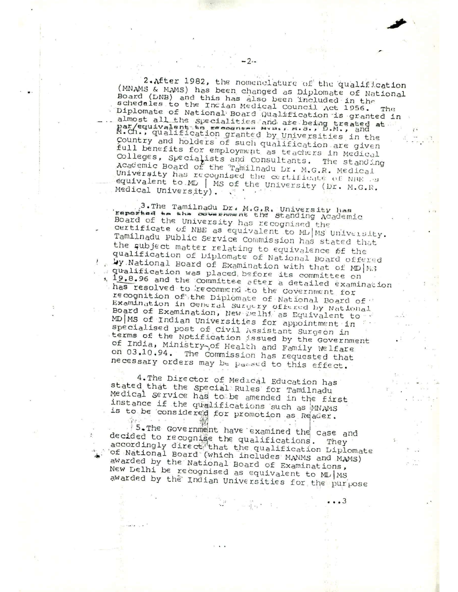2. After 1982, the nomenclature of the qualification (MNAMS & MAMS) has been changed as Diplomate of National Board (DNB) and this has also been included in the schedules to the Indian Medical Council Act 1956. Diplomate of National Board Qualification is granted in almost all the specialities and are being treated at par/equivalent to resement aver, n.s., D.N., and at M.Ch., qualification granted by Universities in the country and holders of such qualification are given full benefits for employment as teachers in Medical Colleges, Specialists and Consultants. The standing Academic Board of the Tamilnadu Dr. M.G.R. Medical University has recognised the certificate of NIME a equivalent to MD | MS of the University (Dr. M.G.R. Medical University).

 $-2 -$ 

3. The Tamilnadu Dr. M.G.R. University has<br>reported to the odvernment the Standing Adademic Board of the University has recognised the certificate of NBE as equivalent to ML/MS University. Tamilnadu Public Service Commission has stated that the subject matter relating to equivalence of the qualification of Diplomate of National Board offered Wy National Board of Examination with that of MD | M.3 gualification was placed before its committee on 1, 19.8.96 and the committee after a detailed examination has resolved to recommend to the Covernment for recognition of the Diplomate of National Board of Examination in ceneral Surgery offered by National Board of Examination, New Delhi as Equivalent to MD MS of Indian Universities for appointment in specialised post of Civil Assistant Surgeon in terms of the Notification issued by the Government of India, Ministry<sub>20f</sub> Health and Family Welfare on 03.10.94. The Commission has requested that necessary orders may be passed to this effect.

4. The Director of Medical Education has stated that the special Rules for Tamilnadu Medical service has to be amended in the first instance if the qualifications such as MNAMS is to be considered for promotion as Reader.

5. The Government have examined the case and decided to recognise the qualifications. They accordingly direct that the qualification Diplomate of National Board (which includes MANMS and MAMS) awarded by the National Board of Examinations, New Delhi be recognised as equivalent to ML/MS awarded by the Indian Universities for the purpose

. . . 3